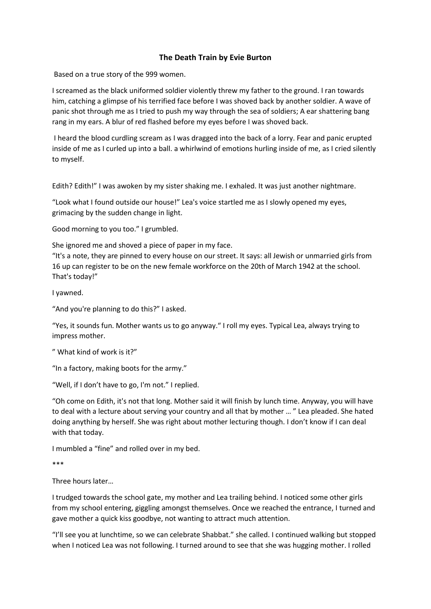## **The Death Train by Evie Burton**

Based on a true story of the 999 women.

I screamed as the black uniformed soldier violently threw my father to the ground. I ran towards him, catching a glimpse of his terrified face before I was shoved back by another soldier. A wave of panic shot through me as I tried to push my way through the sea of soldiers; A ear shattering bang rang in my ears. A blur of red flashed before my eyes before I was shoved back.

I heard the blood curdling scream as I was dragged into the back of a lorry. Fear and panic erupted inside of me as I curled up into a ball. a whirlwind of emotions hurling inside of me, as I cried silently to myself.

Edith? Edith!" I was awoken by my sister shaking me. I exhaled. It was just another nightmare.

"Look what I found outside our house!" Lea's voice startled me as I slowly opened my eyes, grimacing by the sudden change in light.

Good morning to you too." I grumbled.

She ignored me and shoved a piece of paper in my face.

"It's a note, they are pinned to every house on our street. It says: all Jewish or unmarried girls from 16 up can register to be on the new female workforce on the 20th of March 1942 at the school. That's today!"

I yawned.

"And you're planning to do this?" I asked.

"Yes, it sounds fun. Mother wants us to go anyway." I roll my eyes. Typical Lea, always trying to impress mother.

" What kind of work is it?"

"In a factory, making boots for the army."

"Well, if I don't have to go, I'm not." I replied.

"Oh come on Edith, it's not that long. Mother said it will finish by lunch time. Anyway, you will have to deal with a lecture about serving your country and all that by mother … " Lea pleaded. She hated doing anything by herself. She was right about mother lecturing though. I don't know if I can deal with that today.

I mumbled a "fine" and rolled over in my bed.

\*\*\*

Three hours later…

I trudged towards the school gate, my mother and Lea trailing behind. I noticed some other girls from my school entering, giggling amongst themselves. Once we reached the entrance, I turned and gave mother a quick kiss goodbye, not wanting to attract much attention.

"I'll see you at lunchtime, so we can celebrate Shabbat." she called. I continued walking but stopped when I noticed Lea was not following. I turned around to see that she was hugging mother. I rolled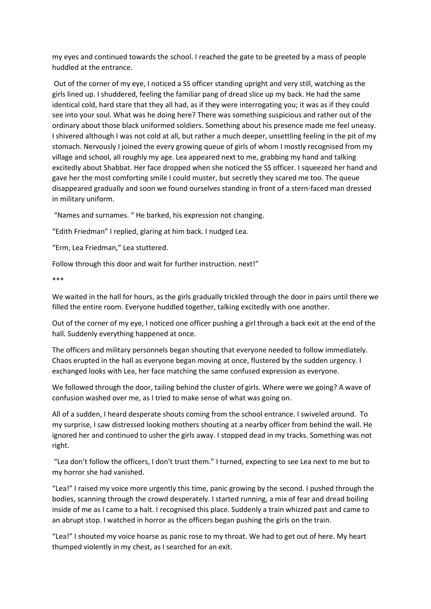my eyes and continued towards the school. I reached the gate to be greeted by a mass of people huddled at the entrance.

Out of the corner of my eye, I noticed a SS officer standing upright and very still, watching as the girls lined up. I shuddered, feeling the familiar pang of dread slice up my back. He had the same identical cold, hard stare that they all had, as if they were interrogating you; it was as if they could see into your soul. What was he doing here? There was something suspicious and rather out of the ordinary about those black uniformed soldiers. Something about his presence made me feel uneasy. I shivered although I was not cold at all, but rather a much deeper, unsettling feeling in the pit of my stomach. Nervously I joined the every growing queue of girls of whom I mostly recognised from my village and school, all roughly my age. Lea appeared next to me, grabbing my hand and talking excitedly about Shabbat. Her face dropped when she noticed the SS officer. I squeezed her hand and gave her the most comforting smile I could muster, but secretly they scared me too. The queue disappeared gradually and soon we found ourselves standing in front of a stern-faced man dressed in military uniform.

"Names and surnames. " He barked, his expression not changing.

"Edith Friedman" I replied, glaring at him back. I nudged Lea.

"Erm, Lea Friedman," Lea stuttered.

Follow through this door and wait for further instruction. next!"

\*\*\*

We waited in the hall for hours, as the girls gradually trickled through the door in pairs until there we filled the entire room. Everyone huddled together, talking excitedly with one another.

Out of the corner of my eye, I noticed one officer pushing a girl through a back exit at the end of the hall. Suddenly everything happened at once.

The officers and military personnels began shouting that everyone needed to follow immediately. Chaos erupted in the hall as everyone began moving at once, flustered by the sudden urgency. I exchanged looks with Lea, her face matching the same confused expression as everyone.

We followed through the door, tailing behind the cluster of girls. Where were we going? A wave of confusion washed over me, as I tried to make sense of what was going on.

All of a sudden, I heard desperate shouts coming from the school entrance. I swiveled around. To my surprise, I saw distressed looking mothers shouting at a nearby officer from behind the wall. He ignored her and continued to usher the girls away. I stopped dead in my tracks. Something was not right.

"Lea don't follow the officers, I don't trust them." I turned, expecting to see Lea next to me but to my horror she had vanished.

"Lea!" I raised my voice more urgently this time, panic growing by the second. I pushed through the bodies, scanning through the crowd desperately. I started running, a mix of fear and dread boiling inside of me as I came to a halt. I recognised this place. Suddenly a train whizzed past and came to an abrupt stop. I watched in horror as the officers began pushing the girls on the train.

"Lea!" I shouted my voice hoarse as panic rose to my throat. We had to get out of here. My heart thumped violently in my chest, as I searched for an exit.